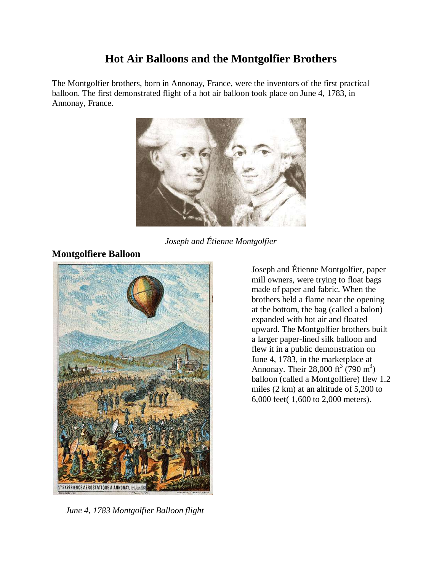# **Hot Air Balloons and the Montgolfier Brothers**

The Montgolfier brothers, born in Annonay, France, were the inventors of the first practical balloon. The first demonstrated flight of a hot air balloon took place on June 4, 1783, in Annonay, France.



*Joseph and Étienne Montgolfier*



## **Montgolfiere Balloon**

Joseph and Étienne Montgolfier, paper mill owners, were trying to float bags made of paper and fabric. When the brothers held a flame near the opening at the bottom, the bag (called a balon) expanded with hot air and floated upward. The Montgolfier brothers built a larger paper-lined silk balloon and flew it in a public demonstration on June 4, 1783, in the marketplace at Annonay. Their 28,000 ft<sup>3</sup> (790 m<sup>3</sup>) balloon (called a Montgolfiere) flew 1.2 miles (2 km) at an altitude of 5,200 to 6,000 feet( 1,600 to 2,000 meters).

*June 4, 1783 Montgolfier Balloon flight*